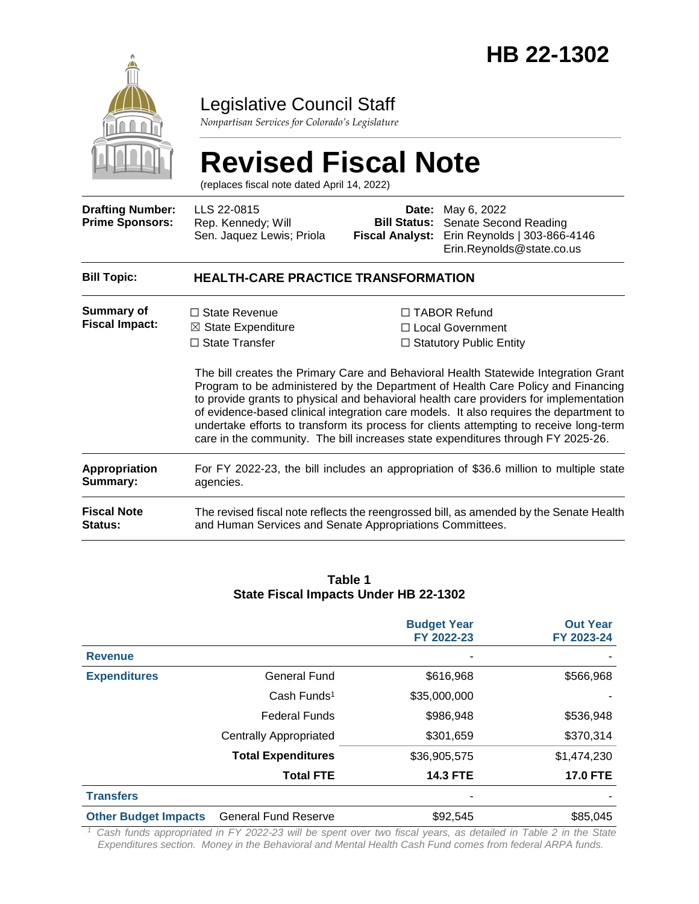

## Legislative Council Staff

*Nonpartisan Services for Colorado's Legislature*

# **Revised Fiscal Note**

(replaces fiscal note dated April 14, 2022)

| <b>Drafting Number:</b><br><b>Prime Sponsors:</b>                        | LLS 22-0815<br>Rep. Kennedy; Will<br>Sen. Jaquez Lewis; Priola                                                                                                                                                                                                                                                                                | <b>Fiscal Analyst:</b>                                                                                                                                                                                                                                                                                                                                                                                                                                                                                                              | <b>Date:</b> May 6, 2022<br><b>Bill Status:</b> Senate Second Reading<br>Erin Reynolds   303-866-4146<br>Erin.Reynolds@state.co.us |  |  |  |  |
|--------------------------------------------------------------------------|-----------------------------------------------------------------------------------------------------------------------------------------------------------------------------------------------------------------------------------------------------------------------------------------------------------------------------------------------|-------------------------------------------------------------------------------------------------------------------------------------------------------------------------------------------------------------------------------------------------------------------------------------------------------------------------------------------------------------------------------------------------------------------------------------------------------------------------------------------------------------------------------------|------------------------------------------------------------------------------------------------------------------------------------|--|--|--|--|
| <b>Bill Topic:</b>                                                       | <b>HEALTH-CARE PRACTICE TRANSFORMATION</b>                                                                                                                                                                                                                                                                                                    |                                                                                                                                                                                                                                                                                                                                                                                                                                                                                                                                     |                                                                                                                                    |  |  |  |  |
| <b>Summary of</b><br><b>Fiscal Impact:</b>                               | $\Box$ State Revenue<br>$\boxtimes$ State Expenditure<br>$\Box$ State Transfer                                                                                                                                                                                                                                                                | $\Box$ TABOR Refund<br>□ Local Government<br>$\Box$ Statutory Public Entity<br>The bill creates the Primary Care and Behavioral Health Statewide Integration Grant<br>Program to be administered by the Department of Health Care Policy and Financing<br>to provide grants to physical and behavioral health care providers for implementation<br>of evidence-based clinical integration care models. It also requires the department to<br>undertake efforts to transform its process for clients attempting to receive long-term |                                                                                                                                    |  |  |  |  |
| <b>Appropriation</b><br>Summary:<br><b>Fiscal Note</b><br><b>Status:</b> | care in the community. The bill increases state expenditures through FY 2025-26.<br>For FY 2022-23, the bill includes an appropriation of \$36.6 million to multiple state<br>agencies.<br>The revised fiscal note reflects the reengrossed bill, as amended by the Senate Health<br>and Human Services and Senate Appropriations Committees. |                                                                                                                                                                                                                                                                                                                                                                                                                                                                                                                                     |                                                                                                                                    |  |  |  |  |

#### **Table 1 State Fiscal Impacts Under HB 22-1302**

|                             |                               | <b>Budget Year</b><br>FY 2022-23 | <b>Out Year</b><br>FY 2023-24 |
|-----------------------------|-------------------------------|----------------------------------|-------------------------------|
| <b>Revenue</b>              |                               | ۰                                |                               |
| <b>Expenditures</b>         | <b>General Fund</b>           | \$616,968                        | \$566,968                     |
|                             | Cash Funds <sup>1</sup>       | \$35,000,000                     |                               |
|                             | <b>Federal Funds</b>          | \$986,948                        | \$536,948                     |
|                             | <b>Centrally Appropriated</b> | \$301,659                        | \$370,314                     |
|                             | <b>Total Expenditures</b>     | \$36,905,575                     | \$1,474,230                   |
|                             | <b>Total FTE</b>              | <b>14.3 FTE</b>                  | <b>17.0 FTE</b>               |
| <b>Transfers</b>            |                               |                                  |                               |
| <b>Other Budget Impacts</b> | <b>General Fund Reserve</b>   | \$92,545                         | \$85,045                      |

*<sup>1</sup>Cash funds appropriated in FY 2022-23 will be spent over two fiscal years, as detailed in Table 2 in the State Expenditures section. Money in the Behavioral and Mental Health Cash Fund comes from federal ARPA funds.*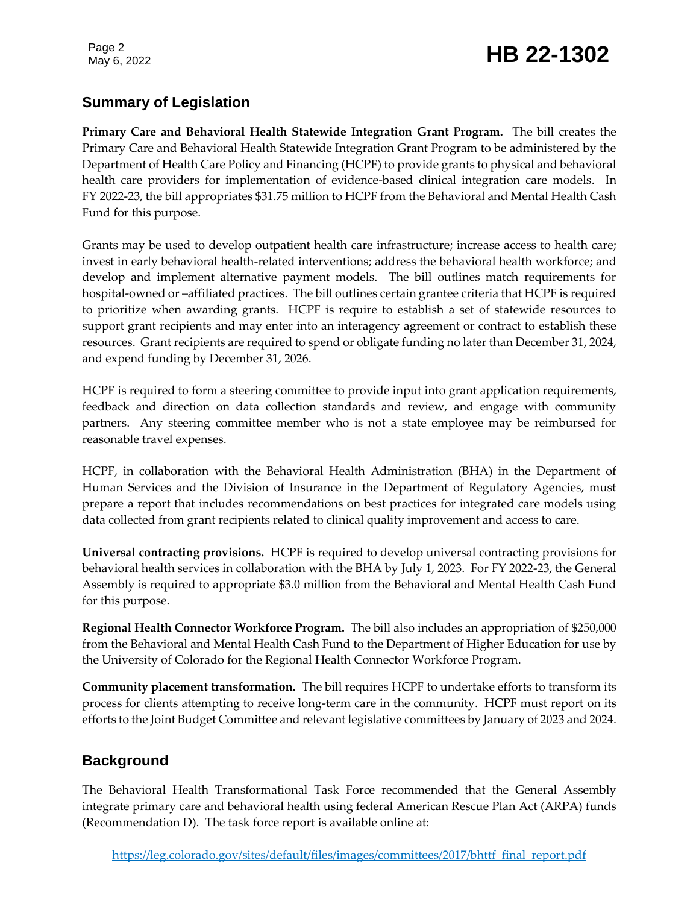Page 2

# Page 2<br>May 6, 2022 **HB 22-1302**

### **Summary of Legislation**

**Primary Care and Behavioral Health Statewide Integration Grant Program.** The bill creates the Primary Care and Behavioral Health Statewide Integration Grant Program to be administered by the Department of Health Care Policy and Financing (HCPF) to provide grants to physical and behavioral health care providers for implementation of evidence-based clinical integration care models. In FY 2022-23, the bill appropriates \$31.75 million to HCPF from the Behavioral and Mental Health Cash Fund for this purpose.

Grants may be used to develop outpatient health care infrastructure; increase access to health care; invest in early behavioral health-related interventions; address the behavioral health workforce; and develop and implement alternative payment models. The bill outlines match requirements for hospital-owned or –affiliated practices. The bill outlines certain grantee criteria that HCPF is required to prioritize when awarding grants. HCPF is require to establish a set of statewide resources to support grant recipients and may enter into an interagency agreement or contract to establish these resources. Grant recipients are required to spend or obligate funding no later than December 31, 2024, and expend funding by December 31, 2026.

HCPF is required to form a steering committee to provide input into grant application requirements, feedback and direction on data collection standards and review, and engage with community partners. Any steering committee member who is not a state employee may be reimbursed for reasonable travel expenses.

HCPF, in collaboration with the Behavioral Health Administration (BHA) in the Department of Human Services and the Division of Insurance in the Department of Regulatory Agencies, must prepare a report that includes recommendations on best practices for integrated care models using data collected from grant recipients related to clinical quality improvement and access to care.

**Universal contracting provisions.** HCPF is required to develop universal contracting provisions for behavioral health services in collaboration with the BHA by July 1, 2023. For FY 2022-23, the General Assembly is required to appropriate \$3.0 million from the Behavioral and Mental Health Cash Fund for this purpose.

**Regional Health Connector Workforce Program.** The bill also includes an appropriation of \$250,000 from the Behavioral and Mental Health Cash Fund to the Department of Higher Education for use by the University of Colorado for the Regional Health Connector Workforce Program.

**Community placement transformation.** The bill requires HCPF to undertake efforts to transform its process for clients attempting to receive long-term care in the community. HCPF must report on its efforts to the Joint Budget Committee and relevant legislative committees by January of 2023 and 2024.

#### **Background**

The Behavioral Health Transformational Task Force recommended that the General Assembly integrate primary care and behavioral health using federal American Rescue Plan Act (ARPA) funds (Recommendation D). The task force report is available online at: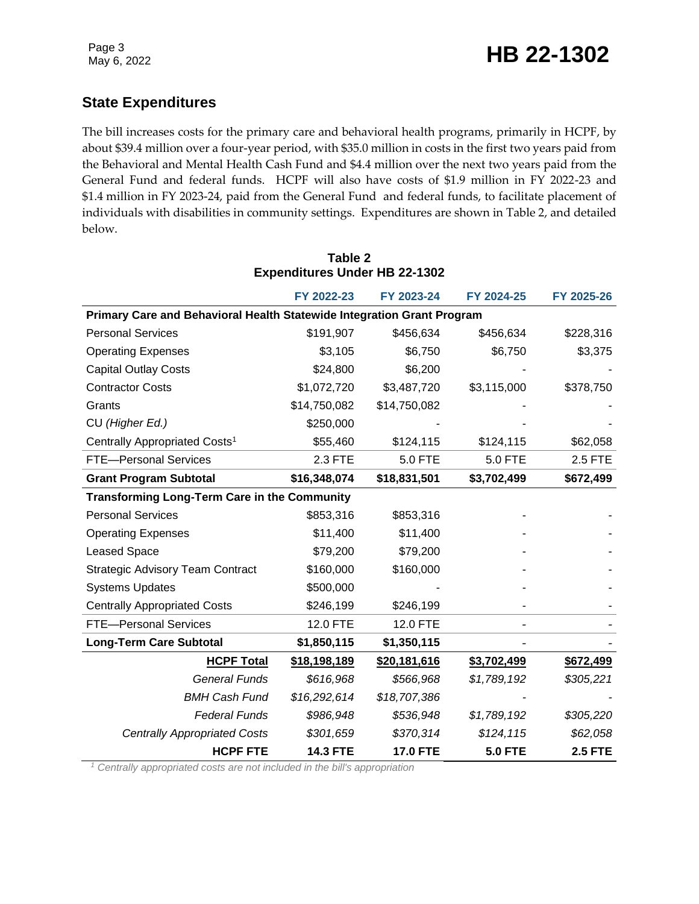## **State Expenditures**

The bill increases costs for the primary care and behavioral health programs, primarily in HCPF, by about \$39.4 million over a four-year period, with \$35.0 million in costs in the first two years paid from the Behavioral and Mental Health Cash Fund and \$4.4 million over the next two years paid from the General Fund and federal funds. HCPF will also have costs of \$1.9 million in FY 2022-23 and \$1.4 million in FY 2023-24, paid from the General Fund and federal funds, to facilitate placement of individuals with disabilities in community settings. Expenditures are shown in Table 2, and detailed below.

|                                                                        | FY 2022-23      | FY 2023-24      | FY 2024-25     | FY 2025-26     |  |  |  |  |  |
|------------------------------------------------------------------------|-----------------|-----------------|----------------|----------------|--|--|--|--|--|
| Primary Care and Behavioral Health Statewide Integration Grant Program |                 |                 |                |                |  |  |  |  |  |
| <b>Personal Services</b>                                               | \$191,907       | \$456,634       | \$456,634      | \$228,316      |  |  |  |  |  |
| <b>Operating Expenses</b>                                              | \$3,105         | \$6,750         | \$6,750        | \$3,375        |  |  |  |  |  |
| <b>Capital Outlay Costs</b>                                            | \$24,800        | \$6,200         |                |                |  |  |  |  |  |
| <b>Contractor Costs</b>                                                | \$1,072,720     | \$3,487,720     | \$3,115,000    | \$378,750      |  |  |  |  |  |
| Grants                                                                 | \$14,750,082    | \$14,750,082    |                |                |  |  |  |  |  |
| CU (Higher Ed.)                                                        | \$250,000       |                 |                |                |  |  |  |  |  |
| Centrally Appropriated Costs <sup>1</sup>                              | \$55,460        | \$124,115       | \$124,115      | \$62,058       |  |  |  |  |  |
| <b>FTE-Personal Services</b>                                           | 2.3 FTE         | <b>5.0 FTE</b>  | 5.0 FTE        | 2.5 FTE        |  |  |  |  |  |
| <b>Grant Program Subtotal</b>                                          | \$16,348,074    | \$18,831,501    | \$3,702,499    | \$672,499      |  |  |  |  |  |
| <b>Transforming Long-Term Care in the Community</b>                    |                 |                 |                |                |  |  |  |  |  |
| <b>Personal Services</b>                                               | \$853,316       | \$853,316       |                |                |  |  |  |  |  |
| <b>Operating Expenses</b>                                              | \$11,400        | \$11,400        |                |                |  |  |  |  |  |
| <b>Leased Space</b>                                                    | \$79,200        | \$79,200        |                |                |  |  |  |  |  |
| <b>Strategic Advisory Team Contract</b>                                | \$160,000       | \$160,000       |                |                |  |  |  |  |  |
| <b>Systems Updates</b>                                                 | \$500,000       |                 |                |                |  |  |  |  |  |
| <b>Centrally Appropriated Costs</b>                                    | \$246,199       | \$246,199       |                |                |  |  |  |  |  |
| <b>FTE-Personal Services</b>                                           | 12.0 FTE        | 12.0 FTE        |                |                |  |  |  |  |  |
| <b>Long-Term Care Subtotal</b>                                         | \$1,850,115     | \$1,350,115     |                |                |  |  |  |  |  |
| <b>HCPF Total</b>                                                      | \$18,198,189    | \$20,181,616    | \$3,702,499    | \$672,499      |  |  |  |  |  |
| <b>General Funds</b>                                                   | \$616,968       | \$566,968       | \$1,789,192    | \$305,221      |  |  |  |  |  |
| <b>BMH Cash Fund</b>                                                   | \$16,292,614    | \$18,707,386    |                |                |  |  |  |  |  |
| <b>Federal Funds</b>                                                   | \$986,948       | \$536,948       | \$1,789,192    | \$305,220      |  |  |  |  |  |
| <b>Centrally Appropriated Costs</b>                                    | \$301,659       | \$370,314       | \$124,115      | \$62,058       |  |  |  |  |  |
| <b>HCPF FTE</b>                                                        | <b>14.3 FTE</b> | <b>17.0 FTE</b> | <b>5.0 FTE</b> | <b>2.5 FTE</b> |  |  |  |  |  |

#### **Table 2 Expenditures Under HB 22-1302**

*<sup>1</sup> Centrally appropriated costs are not included in the bill's appropriation*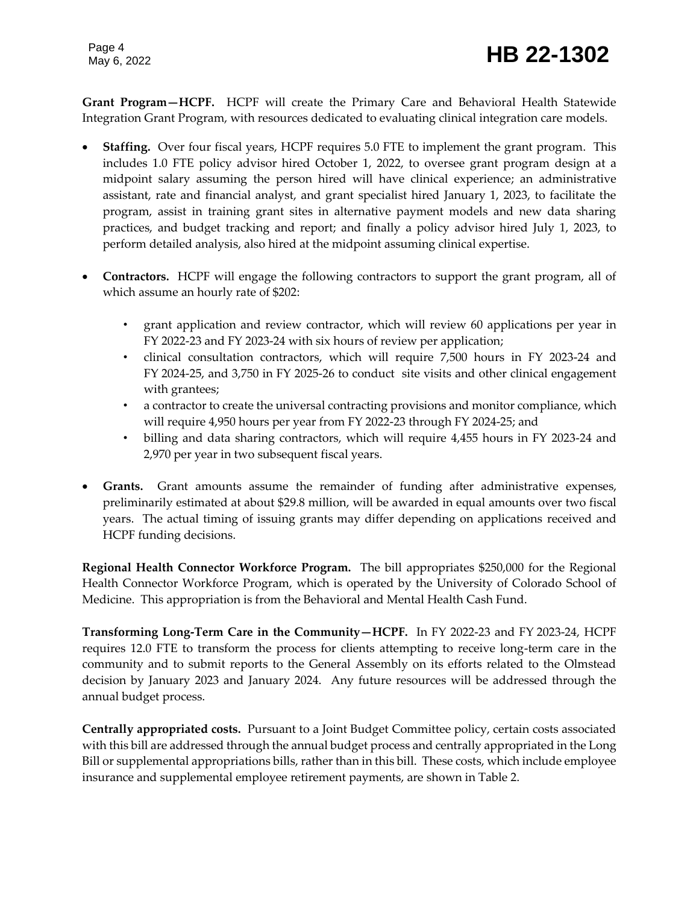**Grant Program—HCPF.** HCPF will create the Primary Care and Behavioral Health Statewide Integration Grant Program, with resources dedicated to evaluating clinical integration care models.

- **Staffing.** Over four fiscal years, HCPF requires 5.0 FTE to implement the grant program. This includes 1.0 FTE policy advisor hired October 1, 2022, to oversee grant program design at a midpoint salary assuming the person hired will have clinical experience; an administrative assistant, rate and financial analyst, and grant specialist hired January 1, 2023, to facilitate the program, assist in training grant sites in alternative payment models and new data sharing practices, and budget tracking and report; and finally a policy advisor hired July 1, 2023, to perform detailed analysis, also hired at the midpoint assuming clinical expertise.
- **Contractors.** HCPF will engage the following contractors to support the grant program, all of which assume an hourly rate of \$202:
	- grant application and review contractor, which will review 60 applications per year in FY 2022-23 and FY 2023-24 with six hours of review per application;
	- clinical consultation contractors, which will require 7,500 hours in FY 2023-24 and FY 2024-25, and 3,750 in FY 2025-26 to conduct site visits and other clinical engagement with grantees;
	- a contractor to create the universal contracting provisions and monitor compliance, which will require 4,950 hours per year from FY 2022-23 through FY 2024-25; and
	- billing and data sharing contractors, which will require 4,455 hours in FY 2023-24 and 2,970 per year in two subsequent fiscal years.
- **Grants.** Grant amounts assume the remainder of funding after administrative expenses, preliminarily estimated at about \$29.8 million, will be awarded in equal amounts over two fiscal years. The actual timing of issuing grants may differ depending on applications received and HCPF funding decisions.

**Regional Health Connector Workforce Program.** The bill appropriates \$250,000 for the Regional Health Connector Workforce Program, which is operated by the University of Colorado School of Medicine. This appropriation is from the Behavioral and Mental Health Cash Fund.

**Transforming Long-Term Care in the Community—HCPF.** In FY 2022-23 and FY 2023-24, HCPF requires 12.0 FTE to transform the process for clients attempting to receive long-term care in the community and to submit reports to the General Assembly on its efforts related to the Olmstead decision by January 2023 and January 2024. Any future resources will be addressed through the annual budget process.

**Centrally appropriated costs.** Pursuant to a Joint Budget Committee policy, certain costs associated with this bill are addressed through the annual budget process and centrally appropriated in the Long Bill or supplemental appropriations bills, rather than in this bill. These costs, which include employee insurance and supplemental employee retirement payments, are shown in Table 2.